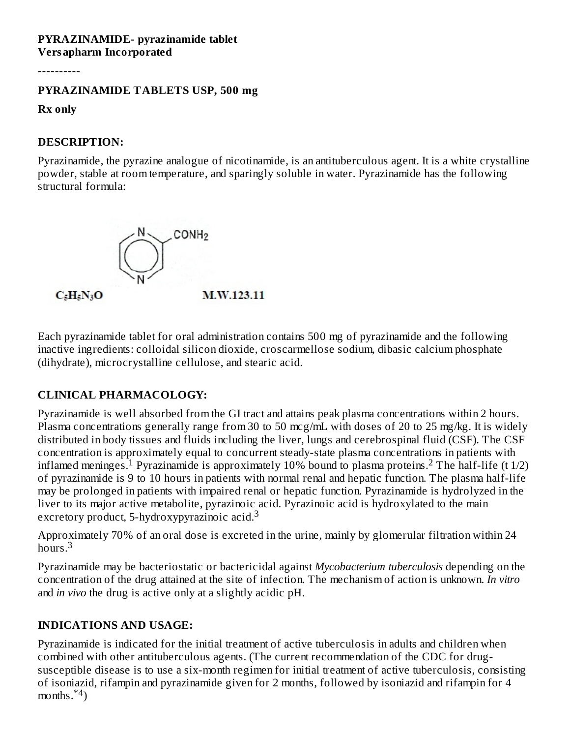#### **PYRAZINAMIDE- pyrazinamide tablet Versapharm Incorporated**

----------

#### **PYRAZINAMIDE TABLETS USP, 500 mg**

**Rx only**

#### **DESCRIPTION:**

Pyrazinamide, the pyrazine analogue of nicotinamide, is an antituberculous agent. It is a white crystalline powder, stable at room temperature, and sparingly soluble in water. Pyrazinamide has the following structural formula:



Each pyrazinamide tablet for oral administration contains 500 mg of pyrazinamide and the following inactive ingredients: colloidal silicon dioxide, croscarmellose sodium, dibasic calcium phosphate (dihydrate), microcrystalline cellulose, and stearic acid.

# **CLINICAL PHARMACOLOGY:**

Pyrazinamide is well absorbed from the GI tract and attains peak plasma concentrations within 2 hours. Plasma concentrations generally range from 30 to 50 mcg/mL with doses of 20 to 25 mg/kg. It is widely distributed in body tissues and fluids including the liver, lungs and cerebrospinal fluid (CSF). The CSF concentration is approximately equal to concurrent steady-state plasma concentrations in patients with inflamed meninges.<sup>1</sup> Pyrazinamide is approximately 10% bound to plasma proteins.<sup>2</sup> The half-life (t 1/2) of pyrazinamide is 9 to 10 hours in patients with normal renal and hepatic function. The plasma half-life may be prolonged in patients with impaired renal or hepatic function. Pyrazinamide is hydrolyzed in the liver to its major active metabolite, pyrazinoic acid. Pyrazinoic acid is hydroxylated to the main excretory product, 5-hydroxypyrazinoic acid.<sup>3</sup>

Approximately 70% of an oral dose is excreted in the urine, mainly by glomerular filtration within 24 hours.<sup>3</sup>

Pyrazinamide may be bacteriostatic or bactericidal against *Mycobacterium tuberculosis* depending on the concentration of the drug attained at the site of infection. The mechanism of action is unknown. *In vitro* and *in vivo* the drug is active only at a slightly acidic pH.

### **INDICATIONS AND USAGE:**

Pyrazinamide is indicated for the initial treatment of active tuberculosis in adults and children when combined with other antituberculous agents. (The current recommendation of the CDC for drugsusceptible disease is to use a six-month regimen for initial treatment of active tuberculosis, consisting of isoniazid, rifampin and pyrazinamide given for 2 months, followed by isoniazid and rifampin for 4 months. $*^4$ )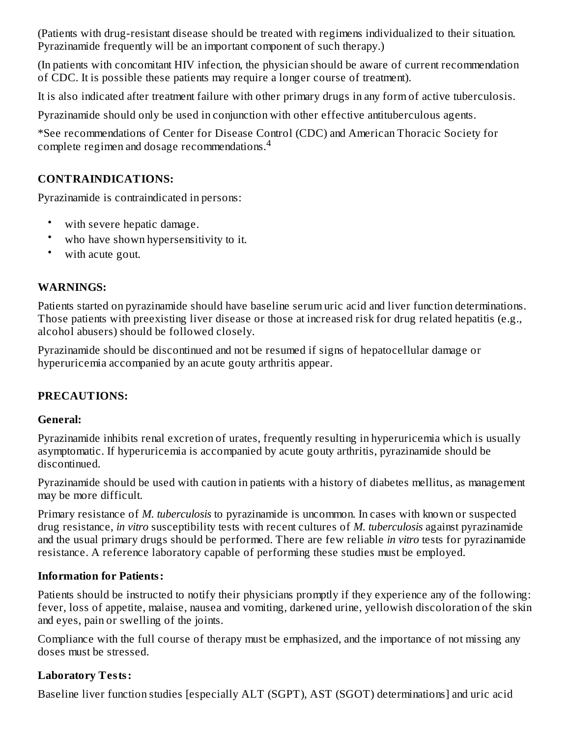(Patients with drug-resistant disease should be treated with regimens individualized to their situation. Pyrazinamide frequently will be an important component of such therapy.)

(In patients with concomitant HIV infection, the physician should be aware of current recommendation of CDC. It is possible these patients may require a longer course of treatment).

It is also indicated after treatment failure with other primary drugs in any form of active tuberculosis.

Pyrazinamide should only be used in conjunction with other effective antituberculous agents.

\*See recommendations of Center for Disease Control (CDC) and American Thoracic Society for complete regimen and dosage recommendations. $^4$ 

# **CONTRAINDICATIONS:**

Pyrazinamide is contraindicated in persons:

- with severe hepatic damage.
- who have shown hypersensitivity to it.
- with acute gout.

# **WARNINGS:**

Patients started on pyrazinamide should have baseline serum uric acid and liver function determinations. Those patients with preexisting liver disease or those at increased risk for drug related hepatitis (e.g., alcohol abusers) should be followed closely.

Pyrazinamide should be discontinued and not be resumed if signs of hepatocellular damage or hyperuricemia accompanied by an acute gouty arthritis appear.

# **PRECAUTIONS:**

# **General:**

Pyrazinamide inhibits renal excretion of urates, frequently resulting in hyperuricemia which is usually asymptomatic. If hyperuricemia is accompanied by acute gouty arthritis, pyrazinamide should be discontinued.

Pyrazinamide should be used with caution in patients with a history of diabetes mellitus, as management may be more difficult.

Primary resistance of *M. tuberculosis* to pyrazinamide is uncommon. In cases with known or suspected drug resistance, *in vitro* susceptibility tests with recent cultures of *M. tuberculosis* against pyrazinamide and the usual primary drugs should be performed. There are few reliable *in vitro* tests for pyrazinamide resistance. A reference laboratory capable of performing these studies must be employed.

# **Information for Patients:**

Patients should be instructed to notify their physicians promptly if they experience any of the following: fever, loss of appetite, malaise, nausea and vomiting, darkened urine, yellowish discoloration of the skin and eyes, pain or swelling of the joints.

Compliance with the full course of therapy must be emphasized, and the importance of not missing any doses must be stressed.

# **Laboratory Tests:**

Baseline liver function studies [especially ALT (SGPT), AST (SGOT) determinations] and uric acid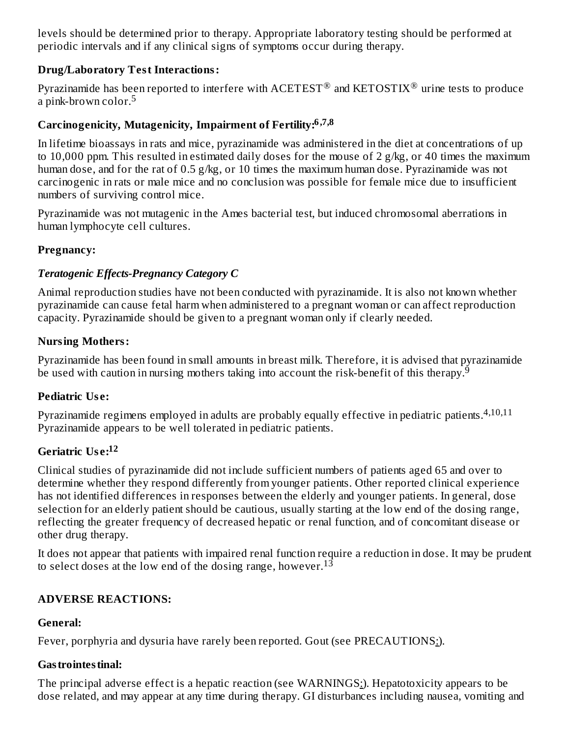levels should be determined prior to therapy. Appropriate laboratory testing should be performed at periodic intervals and if any clinical signs of symptoms occur during therapy.

### **Drug/Laboratory Test Interactions:**

Pyrazinamide has been reported to interfere with  $\textrm{ACETEST}^{\circledR}$  and  $\textrm{KETOSTIX}^{\circledR}$  urine tests to produce a pink-brown color.<sup>5</sup>

# **Carcinogenicity, Mutagenicity, Impairment of Fertility: 6,7,8**

In lifetime bioassays in rats and mice, pyrazinamide was administered in the diet at concentrations of up to 10,000 ppm. This resulted in estimated daily doses for the mouse of 2  $g/kg$ , or 40 times the maximum human dose, and for the rat of 0.5 g/kg, or 10 times the maximum human dose. Pyrazinamide was not carcinogenic in rats or male mice and no conclusion was possible for female mice due to insufficient numbers of surviving control mice.

Pyrazinamide was not mutagenic in the Ames bacterial test, but induced chromosomal aberrations in human lymphocyte cell cultures.

### **Pregnancy:**

### *Teratogenic Effects-Pregnancy Category C*

Animal reproduction studies have not been conducted with pyrazinamide. It is also not known whether pyrazinamide can cause fetal harm when administered to a pregnant woman or can affect reproduction capacity. Pyrazinamide should be given to a pregnant woman only if clearly needed.

### **Nursing Mothers:**

Pyrazinamide has been found in small amounts in breast milk. Therefore, it is advised that pyrazinamide be used with caution in nursing mothers taking into account the risk-benefit of this therapy.<sup>9</sup>

### **Pediatric Us e:**

Pyrazinamide regimens employed in adults are probably equally effective in pediatric patients. 4,10,11 Pyrazinamide appears to be well tolerated in pediatric patients.

# **Geriatric Us e: 12**

Clinical studies of pyrazinamide did not include sufficient numbers of patients aged 65 and over to determine whether they respond differently from younger patients. Other reported clinical experience has not identified differences in responses between the elderly and younger patients. In general, dose selection for an elderly patient should be cautious, usually starting at the low end of the dosing range, reflecting the greater frequency of decreased hepatic or renal function, and of concomitant disease or other drug therapy.

It does not appear that patients with impaired renal function require a reduction in dose. It may be prudent to select doses at the low end of the dosing range, however.  $13$ 

# **ADVERSE REACTIONS:**

### **General:**

Fever, porphyria and dysuria have rarely been reported. Gout (see PRECAUTIONS:).

# **Gastrointestinal:**

The principal adverse effect is a hepatic reaction (see WARNINGS:). Hepatotoxicity appears to be dose related, and may appear at any time during therapy. GI disturbances including nausea, vomiting and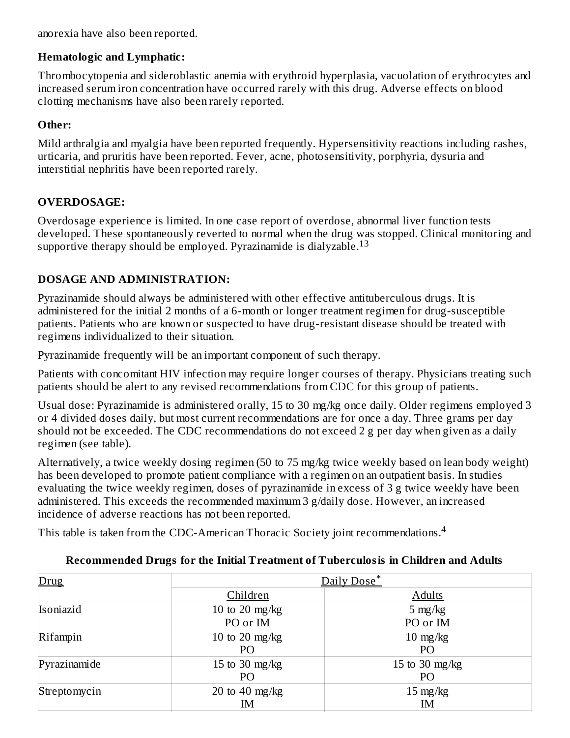anorexia have also been reported.

### **Hematologic and Lymphatic:**

Thrombocytopenia and sideroblastic anemia with erythroid hyperplasia, vacuolation of erythrocytes and increased serum iron concentration have occurred rarely with this drug. Adverse effects on blood clotting mechanisms have also been rarely reported.

### **Other:**

Mild arthralgia and myalgia have been reported frequently. Hypersensitivity reactions including rashes, urticaria, and pruritis have been reported. Fever, acne, photosensitivity, porphyria, dysuria and interstitial nephritis have been reported rarely.

# **OVERDOSAGE:**

Overdosage experience is limited. In one case report of overdose, abnormal liver function tests developed. These spontaneously reverted to normal when the drug was stopped. Clinical monitoring and supportive therapy should be employed. Pyrazinamide is dialyzable. $^{13}$ 

# **DOSAGE AND ADMINISTRATION:**

Pyrazinamide should always be administered with other effective antituberculous drugs. It is administered for the initial 2 months of a 6-month or longer treatment regimen for drug-susceptible patients. Patients who are known or suspected to have drug-resistant disease should be treated with regimens individualized to their situation.

Pyrazinamide frequently will be an important component of such therapy.

Patients with concomitant HIV infection may require longer courses of therapy. Physicians treating such patients should be alert to any revised recommendations from CDC for this group of patients.

Usual dose: Pyrazinamide is administered orally, 15 to 30 mg/kg once daily. Older regimens employed 3 or 4 divided doses daily, but most current recommendations are for once a day. Three grams per day should not be exceeded. The CDC recommendations do not exceed 2 g per day when given as a daily regimen (see table).

Alternatively, a twice weekly dosing regimen (50 to 75 mg/kg twice weekly based on lean body weight) has been developed to promote patient compliance with a regimen on an outpatient basis. In studies evaluating the twice weekly regimen, doses of pyrazinamide in excess of 3 g twice weekly have been administered. This exceeds the recommended maximum 3 g/daily dose. However, an increased incidence of adverse reactions has not been reported.

This table is taken from the CDC-American Thoracic Society joint recommendations.<sup>4</sup>

| Drug         | Daily Dose*                        |                          |  |  |
|--------------|------------------------------------|--------------------------|--|--|
|              | Children                           | <b>Adults</b>            |  |  |
| Isoniazid    | 10 to 20 mg/kg<br>PO or IM         | $5 \text{ mg/kg}$        |  |  |
|              |                                    | PO or IM                 |  |  |
| Rifampin     | 10 to 20 mg/kg<br>P <sub>O</sub>   | $10 \text{ mg/kg}$<br>PO |  |  |
| Pyrazinamide | 15 to 30 $mg/kg$<br>P <sub>O</sub> | 15 to 30 mg/kg<br>PO     |  |  |
| Streptomycin | 20 to 40 mg/kg<br>ΙM               | $15 \text{ mg/kg}$<br>IM |  |  |

# **Recommended Drugs for the Initial Treatment of Tuberculosis in Children and Adults**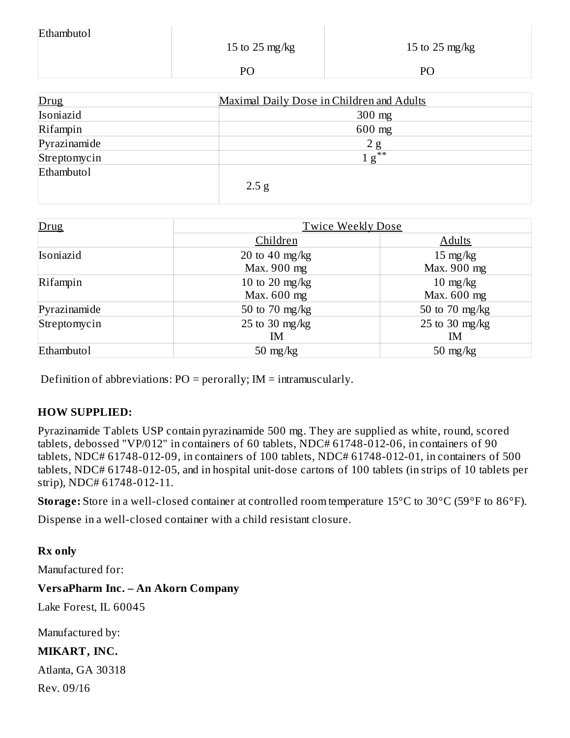| Ethambutol |                |                |
|------------|----------------|----------------|
|            | 15 to 25 mg/kg | 15 to 25 mg/kg |
|            | PO             | DС             |

| Drug         | Maximal Daily Dose in Children and Adults |
|--------------|-------------------------------------------|
| Isoniazid    | $300$ mg                                  |
| Rifampin     | 600 mg                                    |
| Pyrazinamide | 2g                                        |
| Streptomycin | $1\,\mathrm{g}^{**}$                      |
| Ethambutol   |                                           |
|              | 2.5 g                                     |

| Drug              | <b>Twice Weekly Dose</b>      |                                   |  |  |
|-------------------|-------------------------------|-----------------------------------|--|--|
|                   | Children                      | <b>Adults</b>                     |  |  |
| Isoniazid         | 20 to 40 mg/kg<br>Max. 900 mg | $15 \text{ mg/kg}$<br>Max. 900 mg |  |  |
| Rifampin          | 10 to 20 mg/kg<br>Max. 600 mg | $10 \text{ mg/kg}$<br>Max. 600 mg |  |  |
| Pyrazinamide      | 50 to 70 mg/kg                | 50 to 70 mg/kg                    |  |  |
| Streptomycin      | 25 to 30 $mg/kg$<br>IM        | 25 to 30 mg/kg<br>ΙM              |  |  |
| <b>Ethambuto1</b> | $50 \text{ mg/kg}$            | $50 \text{ mg/kg}$                |  |  |

Definition of abbreviations:  $PO = perorally$ ;  $IM = intramuscularly$ .

### **HOW SUPPLIED:**

Pyrazinamide Tablets USP contain pyrazinamide 500 mg. They are supplied as white, round, scored tablets, debossed "VP/012" in containers of 60 tablets, NDC# 61748-012-06, in containers of 90 tablets, NDC# 61748-012-09, in containers of 100 tablets, NDC# 61748-012-01, in containers of 500 tablets, NDC# 61748-012-05, and in hospital unit-dose cartons of 100 tablets (in strips of 10 tablets per strip), NDC# 61748-012-11.

**Storage:** Store in a well-closed container at controlled room temperature 15°C to 30°C (59°F to 86°F).

Dispense in a well-closed container with a child resistant closure.

### **Rx only**

Manufactured for:

### **VersaPharm Inc. – An Akorn Company**

Lake Forest, IL 60045

Manufactured by:

### **MIKART, INC.**

Atlanta, GA 30318 Rev. 09/16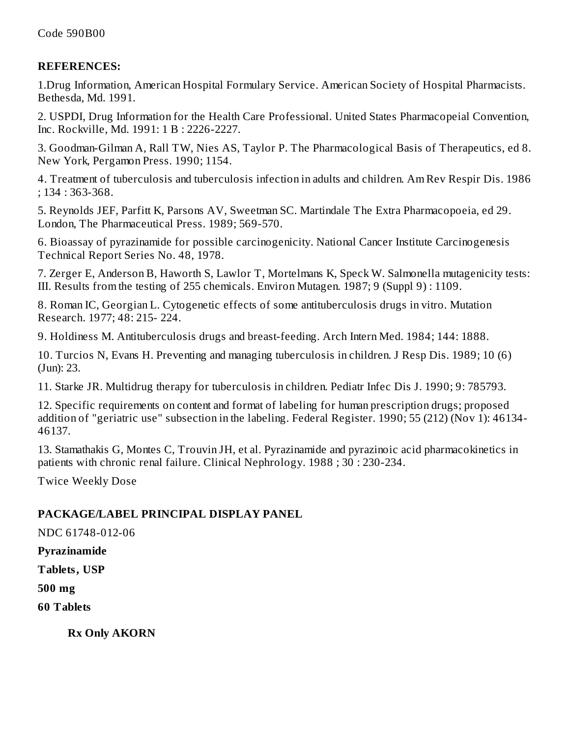#### **REFERENCES:**

1.Drug Information, American Hospital Formulary Service. American Society of Hospital Pharmacists. Bethesda, Md. 1991.

2. USPDI, Drug Information for the Health Care Professional. United States Pharmacopeial Convention, Inc. Rockville, Md. 1991: 1 B : 2226-2227.

3. Goodman-Gilman A, Rall TW, Nies AS, Taylor P. The Pharmacological Basis of Therapeutics, ed 8. New York, Pergamon Press. 1990; 1154.

4. Treatment of tuberculosis and tuberculosis infection in adults and children. Am Rev Respir Dis. 1986 ; 134 : 363-368.

5. Reynolds JEF, Parfitt K, Parsons AV, Sweetman SC. Martindale The Extra Pharmacopoeia, ed 29. London, The Pharmaceutical Press. 1989; 569-570.

6. Bioassay of pyrazinamide for possible carcinogenicity. National Cancer Institute Carcinogenesis Technical Report Series No. 48, 1978.

7. Zerger E, Anderson B, Haworth S, Lawlor T, Mortelmans K, Speck W. Salmonella mutagenicity tests: III. Results from the testing of 255 chemicals. Environ Mutagen. 1987; 9 (Suppl 9) : 1109.

8. Roman IC, Georgian L. Cytogenetic effects of some antituberculosis drugs in vitro. Mutation Research. 1977; 48: 215- 224.

9. Holdiness M. Antituberculosis drugs and breast-feeding. Arch Intern Med. 1984; 144: 1888.

10. Turcios N, Evans H. Preventing and managing tuberculosis in children. J Resp Dis. 1989; 10 (6) (Jun): 23.

11. Starke JR. Multidrug therapy for tuberculosis in children. Pediatr Infec Dis J. 1990; 9: 785793.

12. Specific requirements on content and format of labeling for human prescription drugs; proposed addition of "geriatric use" subsection in the labeling. Federal Register. 1990; 55 (212) (Nov 1): 46134- 46137.

13. Stamathakis G, Montes C, Trouvin JH, et al. Pyrazinamide and pyrazinoic acid pharmacokinetics in patients with chronic renal failure. Clinical Nephrology. 1988 ; 30 : 230-234.

Twice Weekly Dose

### **PACKAGE/LABEL PRINCIPAL DISPLAY PANEL**

NDC 61748-012-06

#### **Pyrazinamide**

**Tablets, USP**

**500 mg**

**60 Tablets**

**Rx Only AKORN**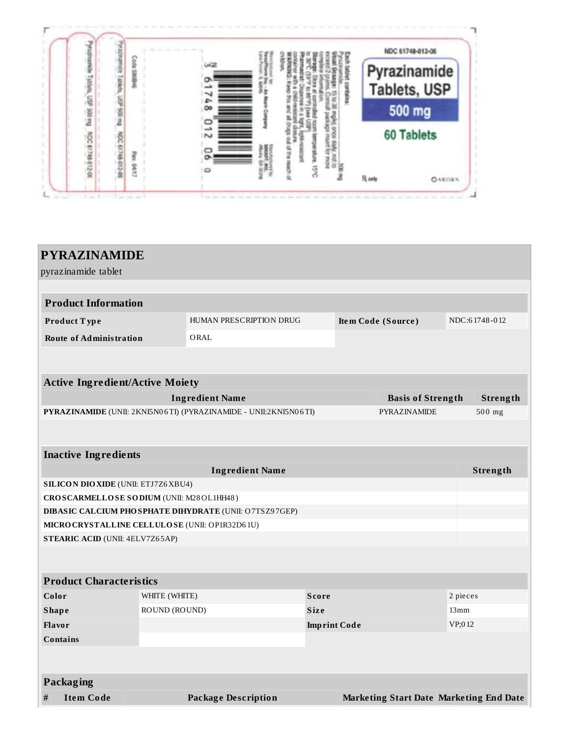|        |                 |          |   | NDC 61748-012-06  |
|--------|-----------------|----------|---|-------------------|
|        |                 | мz       |   | Pyrazinamide      |
|        |                 |          |   | Tablets, USP      |
| AM 005 |                 | $\infty$ | I | 500 mg            |
| ğ      |                 |          |   | <b>60 Tablets</b> |
| 101240 | ğ<br>事の記<br>SK1 |          |   |                   |

| pyrazinamide tablet<br><b>Product Information</b><br>NDC:61748-012<br>HUMAN PRESCRIPTION DRUG<br>Item Code (Source)<br>Product Type<br><b>Route of Administration</b><br>ORAL<br><b>Active Ingredient/Active Moiety</b><br><b>Ingredient Name</b><br>Strength<br><b>Basis of Strength</b><br>PYRAZINAMIDE (UNII: 2KNI5N06TI) (PYRAZINAMIDE - UNII:2KNI5N06TI)<br>500 mg<br>PYRAZINAMIDE<br><b>Inactive Ingredients</b><br><b>Ingredient Name</b><br>Strength<br><b>SILICON DIO XIDE (UNII: ETJ7Z6 XBU4)</b><br>CROSCARMELLOSE SODIUM (UNII: M28OL1HH48)<br>DIBASIC CALCIUM PHOSPHATE DIHYDRATE (UNII: O7TSZ97GEP)<br>MICRO CRYSTALLINE CELLULO SE (UNII: OP1R32D61U)<br><b>STEARIC ACID (UNII: 4ELV7Z65AP)</b><br><b>Product Characteristics</b><br>Color<br>2 pieces<br>WHITE (WHITE)<br><b>Score</b><br>ROUND (ROUND)<br><b>Size</b><br>13mm<br><b>Shape</b><br>VP;012<br>Flavor<br><b>Imprint Code</b><br><b>Contains</b><br>Packaging | <b>PYRAZINAMIDE</b>   |  |                            |  |  |  |  |  |
|-------------------------------------------------------------------------------------------------------------------------------------------------------------------------------------------------------------------------------------------------------------------------------------------------------------------------------------------------------------------------------------------------------------------------------------------------------------------------------------------------------------------------------------------------------------------------------------------------------------------------------------------------------------------------------------------------------------------------------------------------------------------------------------------------------------------------------------------------------------------------------------------------------------------------------------------|-----------------------|--|----------------------------|--|--|--|--|--|
|                                                                                                                                                                                                                                                                                                                                                                                                                                                                                                                                                                                                                                                                                                                                                                                                                                                                                                                                           |                       |  |                            |  |  |  |  |  |
|                                                                                                                                                                                                                                                                                                                                                                                                                                                                                                                                                                                                                                                                                                                                                                                                                                                                                                                                           |                       |  |                            |  |  |  |  |  |
|                                                                                                                                                                                                                                                                                                                                                                                                                                                                                                                                                                                                                                                                                                                                                                                                                                                                                                                                           |                       |  |                            |  |  |  |  |  |
|                                                                                                                                                                                                                                                                                                                                                                                                                                                                                                                                                                                                                                                                                                                                                                                                                                                                                                                                           |                       |  |                            |  |  |  |  |  |
|                                                                                                                                                                                                                                                                                                                                                                                                                                                                                                                                                                                                                                                                                                                                                                                                                                                                                                                                           |                       |  |                            |  |  |  |  |  |
|                                                                                                                                                                                                                                                                                                                                                                                                                                                                                                                                                                                                                                                                                                                                                                                                                                                                                                                                           |                       |  |                            |  |  |  |  |  |
|                                                                                                                                                                                                                                                                                                                                                                                                                                                                                                                                                                                                                                                                                                                                                                                                                                                                                                                                           |                       |  |                            |  |  |  |  |  |
|                                                                                                                                                                                                                                                                                                                                                                                                                                                                                                                                                                                                                                                                                                                                                                                                                                                                                                                                           |                       |  |                            |  |  |  |  |  |
|                                                                                                                                                                                                                                                                                                                                                                                                                                                                                                                                                                                                                                                                                                                                                                                                                                                                                                                                           |                       |  |                            |  |  |  |  |  |
|                                                                                                                                                                                                                                                                                                                                                                                                                                                                                                                                                                                                                                                                                                                                                                                                                                                                                                                                           |                       |  |                            |  |  |  |  |  |
|                                                                                                                                                                                                                                                                                                                                                                                                                                                                                                                                                                                                                                                                                                                                                                                                                                                                                                                                           |                       |  |                            |  |  |  |  |  |
|                                                                                                                                                                                                                                                                                                                                                                                                                                                                                                                                                                                                                                                                                                                                                                                                                                                                                                                                           |                       |  |                            |  |  |  |  |  |
|                                                                                                                                                                                                                                                                                                                                                                                                                                                                                                                                                                                                                                                                                                                                                                                                                                                                                                                                           |                       |  |                            |  |  |  |  |  |
|                                                                                                                                                                                                                                                                                                                                                                                                                                                                                                                                                                                                                                                                                                                                                                                                                                                                                                                                           |                       |  |                            |  |  |  |  |  |
|                                                                                                                                                                                                                                                                                                                                                                                                                                                                                                                                                                                                                                                                                                                                                                                                                                                                                                                                           |                       |  |                            |  |  |  |  |  |
|                                                                                                                                                                                                                                                                                                                                                                                                                                                                                                                                                                                                                                                                                                                                                                                                                                                                                                                                           |                       |  |                            |  |  |  |  |  |
|                                                                                                                                                                                                                                                                                                                                                                                                                                                                                                                                                                                                                                                                                                                                                                                                                                                                                                                                           |                       |  |                            |  |  |  |  |  |
|                                                                                                                                                                                                                                                                                                                                                                                                                                                                                                                                                                                                                                                                                                                                                                                                                                                                                                                                           |                       |  |                            |  |  |  |  |  |
|                                                                                                                                                                                                                                                                                                                                                                                                                                                                                                                                                                                                                                                                                                                                                                                                                                                                                                                                           |                       |  |                            |  |  |  |  |  |
|                                                                                                                                                                                                                                                                                                                                                                                                                                                                                                                                                                                                                                                                                                                                                                                                                                                                                                                                           |                       |  |                            |  |  |  |  |  |
|                                                                                                                                                                                                                                                                                                                                                                                                                                                                                                                                                                                                                                                                                                                                                                                                                                                                                                                                           |                       |  |                            |  |  |  |  |  |
|                                                                                                                                                                                                                                                                                                                                                                                                                                                                                                                                                                                                                                                                                                                                                                                                                                                                                                                                           |                       |  |                            |  |  |  |  |  |
|                                                                                                                                                                                                                                                                                                                                                                                                                                                                                                                                                                                                                                                                                                                                                                                                                                                                                                                                           |                       |  |                            |  |  |  |  |  |
|                                                                                                                                                                                                                                                                                                                                                                                                                                                                                                                                                                                                                                                                                                                                                                                                                                                                                                                                           |                       |  |                            |  |  |  |  |  |
|                                                                                                                                                                                                                                                                                                                                                                                                                                                                                                                                                                                                                                                                                                                                                                                                                                                                                                                                           |                       |  |                            |  |  |  |  |  |
|                                                                                                                                                                                                                                                                                                                                                                                                                                                                                                                                                                                                                                                                                                                                                                                                                                                                                                                                           |                       |  |                            |  |  |  |  |  |
| <b>Marketing Start Date Marketing End Date</b>                                                                                                                                                                                                                                                                                                                                                                                                                                                                                                                                                                                                                                                                                                                                                                                                                                                                                            | <b>Item Code</b><br># |  | <b>Package Description</b> |  |  |  |  |  |